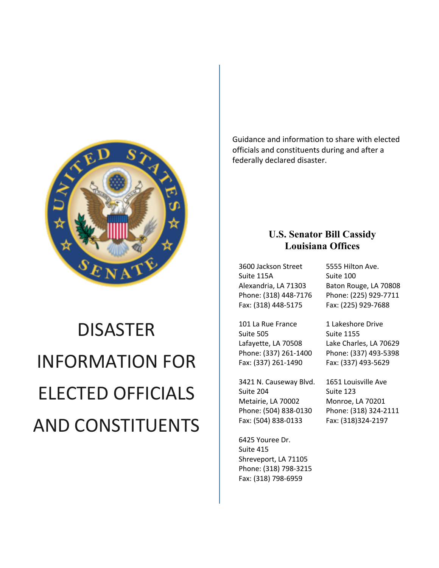

# DISASTER INFORMATION FOR ELECTED OFFICIALS AND CONSTITUENTS

Guidance and information to share with elected officials and constituents during and after a federally declared disaster.

# **U.S. Senator Bill Cassidy Louisiana Offices**

3600 Jackson Street Suite 115A Alexandria, LA 71303 Phone: (318) 448-7176 Fax: (318) 448-5175

101 La Rue France Suite 505 Lafayette, LA 70508 Phone: (337) 261-1400 Fax: (337) 261-1490

3421 N. Causeway Blvd. Suite 204 Metairie, LA 70002 Phone: (504) 838-0130 Fax: (504) 838-0133

6425 Youree Dr. Suite 415 Shreveport, LA 71105 Phone: (318) 798-3215 Fax: (318) 798-6959

5555 Hilton Ave. Suite 100 Baton Rouge, LA 70808 Phone: (225) 929-7711 Fax: (225) 929-7688

1 Lakeshore Drive Suite 1155 Lake Charles, LA 70629 Phone: (337) 493-5398 Fax: (337) 493-5629

1651 Louisville Ave Suite 123 Monroe, LA 70201 Phone: (318) 324-2111 Fax: (318)324-2197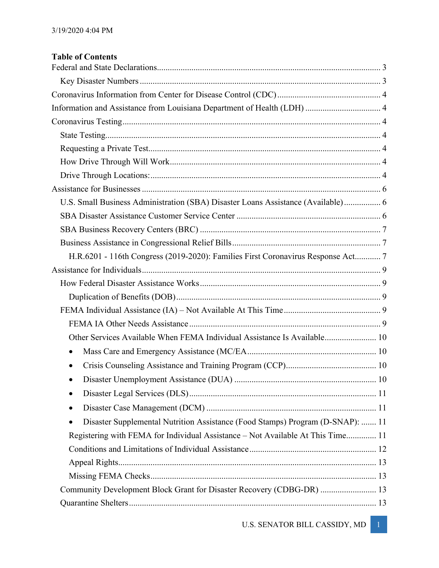| <b>Table of Contents</b> |  |
|--------------------------|--|
|--------------------------|--|

| Information and Assistance from Louisiana Department of Health (LDH)  4             |  |
|-------------------------------------------------------------------------------------|--|
|                                                                                     |  |
|                                                                                     |  |
|                                                                                     |  |
|                                                                                     |  |
|                                                                                     |  |
|                                                                                     |  |
| U.S. Small Business Administration (SBA) Disaster Loans Assistance (Available) 6    |  |
|                                                                                     |  |
|                                                                                     |  |
|                                                                                     |  |
| H.R.6201 - 116th Congress (2019-2020): Families First Coronavirus Response Act 7    |  |
|                                                                                     |  |
|                                                                                     |  |
|                                                                                     |  |
|                                                                                     |  |
|                                                                                     |  |
| Other Services Available When FEMA Individual Assistance Is Available 10            |  |
| $\bullet$                                                                           |  |
|                                                                                     |  |
|                                                                                     |  |
| $\bullet$                                                                           |  |
| $\bullet$                                                                           |  |
| Disaster Supplemental Nutrition Assistance (Food Stamps) Program (D-SNAP):  11<br>٠ |  |
| Registering with FEMA for Individual Assistance - Not Available At This Time 11     |  |
|                                                                                     |  |
|                                                                                     |  |
|                                                                                     |  |
| Community Development Block Grant for Disaster Recovery (CDBG-DR)  13               |  |
|                                                                                     |  |
|                                                                                     |  |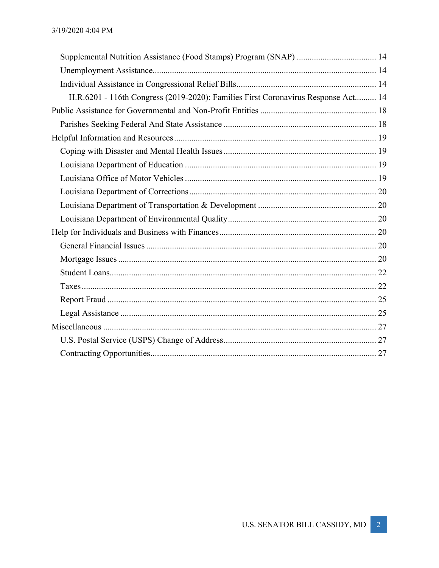| Supplemental Nutrition Assistance (Food Stamps) Program (SNAP)  14                |  |
|-----------------------------------------------------------------------------------|--|
|                                                                                   |  |
|                                                                                   |  |
| H.R.6201 - 116th Congress (2019-2020): Families First Coronavirus Response Act 14 |  |
|                                                                                   |  |
|                                                                                   |  |
|                                                                                   |  |
|                                                                                   |  |
|                                                                                   |  |
|                                                                                   |  |
|                                                                                   |  |
|                                                                                   |  |
|                                                                                   |  |
|                                                                                   |  |
|                                                                                   |  |
|                                                                                   |  |
|                                                                                   |  |
|                                                                                   |  |
|                                                                                   |  |
|                                                                                   |  |
|                                                                                   |  |
|                                                                                   |  |
|                                                                                   |  |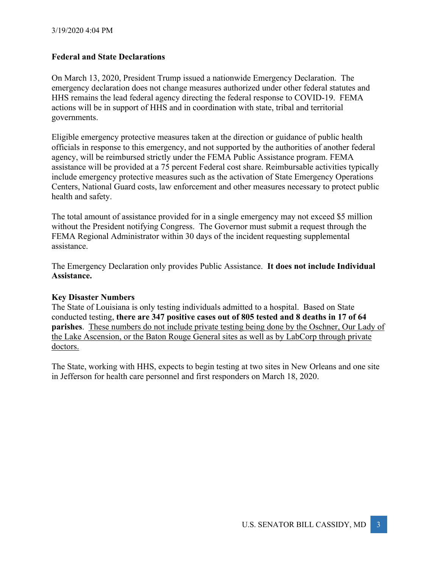# **Federal and State Declarations**

On March 13, 2020, President Trump issued a nationwide Emergency Declaration. The emergency declaration does not change measures authorized under other federal statutes and HHS remains the lead federal agency directing the federal response to COVID-19. FEMA actions will be in support of HHS and in coordination with state, tribal and territorial governments.

Eligible emergency protective measures taken at the direction or guidance of public health officials in response to this emergency, and not supported by the authorities of another federal agency, will be reimbursed strictly under the FEMA Public Assistance program. FEMA assistance will be provided at a 75 percent Federal cost share. Reimbursable activities typically include emergency protective measures such as the activation of State Emergency Operations Centers, National Guard costs, law enforcement and other measures necessary to protect public health and safety.

The total amount of assistance provided for in a single emergency may not exceed \$5 million without the President notifying Congress. The Governor must submit a request through the FEMA Regional Administrator within 30 days of the incident requesting supplemental assistance.

The Emergency Declaration only provides Public Assistance. **It does not include Individual Assistance.**

# **Key Disaster Numbers**

The State of Louisiana is only testing individuals admitted to a hospital. Based on State conducted testing, **there are 347 positive cases out of 805 tested and 8 deaths in 17 of 64 parishes**. These numbers do not include private testing being done by the Oschner, Our Lady of the Lake Ascension, or the Baton Rouge General sites as well as by LabCorp through private doctors.

The State, working with HHS, expects to begin testing at two sites in New Orleans and one site in Jefferson for health care personnel and first responders on March 18, 2020.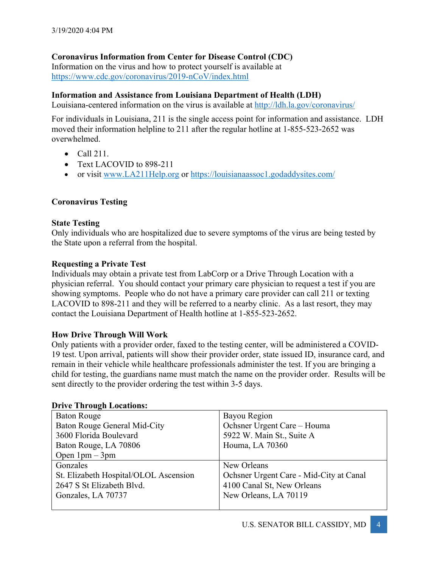# **Coronavirus Information from Center for Disease Control (CDC)**

Information on the virus and how to protect yourself is available at https://www.cdc.gov/coronavirus/2019-nCoV/index.html

# **Information and Assistance from Louisiana Department of Health (LDH)**

Louisiana-centered information on the virus is available at http://ldh.la.gov/coronavirus/

For individuals in Louisiana, 211 is the single access point for information and assistance. LDH moved their information helpline to 211 after the regular hotline at 1-855-523-2652 was overwhelmed.

- $\bullet$  Call 211.
- Text LACOVID to 898-211
- or visit www.LA211Help.org or https://louisianaassoc1.godaddysites.com/

# **Coronavirus Testing**

# **State Testing**

Only individuals who are hospitalized due to severe symptoms of the virus are being tested by the State upon a referral from the hospital.

# **Requesting a Private Test**

Individuals may obtain a private test from LabCorp or a Drive Through Location with a physician referral. You should contact your primary care physician to request a test if you are showing symptoms. People who do not have a primary care provider can call 211 or texting LACOVID to 898-211 and they will be referred to a nearby clinic. As a last resort, they may contact the Louisiana Department of Health hotline at 1-855-523-2652.

# **How Drive Through Will Work**

Only patients with a provider order, faxed to the testing center, will be administered a COVID-19 test. Upon arrival, patients will show their provider order, state issued ID, insurance card, and remain in their vehicle while healthcare professionals administer the test. If you are bringing a child for testing, the guardians name must match the name on the provider order. Results will be sent directly to the provider ordering the test within 3-5 days.

| DITTY THEORGH LOCALIONS.              |                                         |  |  |
|---------------------------------------|-----------------------------------------|--|--|
| Baton Rouge                           | Bayou Region                            |  |  |
| Baton Rouge General Mid-City          | Ochsner Urgent Care - Houma             |  |  |
| 3600 Florida Boulevard                | 5922 W. Main St., Suite A               |  |  |
| Baton Rouge, LA 70806                 | Houma, LA 70360                         |  |  |
| Open $1$ pm $-$ 3pm                   |                                         |  |  |
| Gonzales                              | New Orleans                             |  |  |
| St. Elizabeth Hospital/OLOL Ascension | Ochsner Urgent Care - Mid-City at Canal |  |  |
| 2647 S St Elizabeth Blvd.             | 4100 Canal St, New Orleans              |  |  |
| Gonzales, LA 70737                    | New Orleans, LA 70119                   |  |  |
|                                       |                                         |  |  |

# **Drive Through Locations:**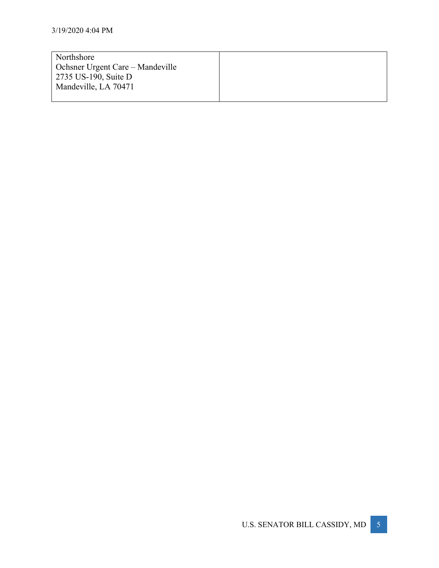| Northshore                       |  |
|----------------------------------|--|
| Ochsner Urgent Care – Mandeville |  |
| 2735 US-190, Suite D             |  |
| Mandeville, LA 70471             |  |
|                                  |  |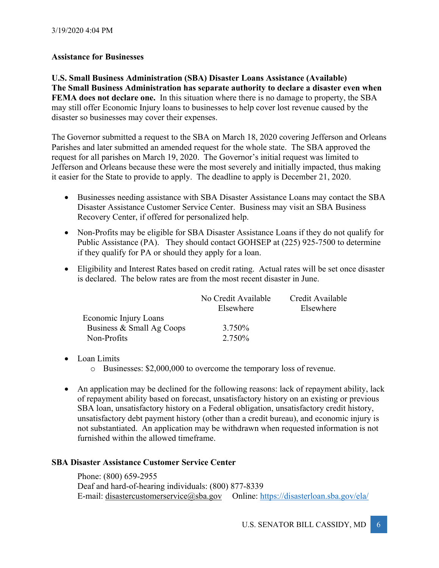# **Assistance for Businesses**

**U.S. Small Business Administration (SBA) Disaster Loans Assistance (Available) The Small Business Administration has separate authority to declare a disaster even when FEMA does not declare one.** In this situation where there is no damage to property, the SBA may still offer Economic Injury loans to businesses to help cover lost revenue caused by the disaster so businesses may cover their expenses.

The Governor submitted a request to the SBA on March 18, 2020 covering Jefferson and Orleans Parishes and later submitted an amended request for the whole state. The SBA approved the request for all parishes on March 19, 2020. The Governor's initial request was limited to Jefferson and Orleans because these were the most severely and initially impacted, thus making it easier for the State to provide to apply. The deadline to apply is December 21, 2020.

- Businesses needing assistance with SBA Disaster Assistance Loans may contact the SBA Disaster Assistance Customer Service Center. Business may visit an SBA Business Recovery Center, if offered for personalized help.
- Non-Profits may be eligible for SBA Disaster Assistance Loans if they do not qualify for Public Assistance (PA). They should contact GOHSEP at (225) 925-7500 to determine if they qualify for PA or should they apply for a loan.
- Eligibility and Interest Rates based on credit rating. Actual rates will be set once disaster is declared. The below rates are from the most recent disaster in June.

|                           | No Credit Available | Credit Available |
|---------------------------|---------------------|------------------|
|                           | Elsewhere           | Elsewhere        |
| Economic Injury Loans     |                     |                  |
| Business & Small Ag Coops | 3.750\%             |                  |
| Non-Profits               | 2.750\%             |                  |

# • Loan Limits

- o Businesses: \$2,000,000 to overcome the temporary loss of revenue.
- An application may be declined for the following reasons: lack of repayment ability, lack of repayment ability based on forecast, unsatisfactory history on an existing or previous SBA loan, unsatisfactory history on a Federal obligation, unsatisfactory credit history, unsatisfactory debt payment history (other than a credit bureau), and economic injury is not substantiated. An application may be withdrawn when requested information is not furnished within the allowed timeframe.

# **SBA Disaster Assistance Customer Service Center**

Phone: (800) 659-2955 Deaf and hard-of-hearing individuals: (800) 877-8339 E-mail: disastercustomerservice@sba.gov Online: https://disasterloan.sba.gov/ela/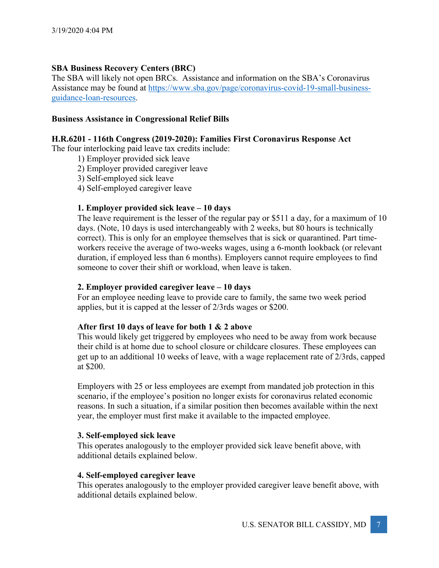# **SBA Business Recovery Centers (BRC)**

The SBA will likely not open BRCs. Assistance and information on the SBA's Coronavirus Assistance may be found at https://www.sba.gov/page/coronavirus-covid-19-small-businessguidance-loan-resources.

# **Business Assistance in Congressional Relief Bills**

## **H.R.6201 - 116th Congress (2019-2020): Families First Coronavirus Response Act**

The four interlocking paid leave tax credits include:

- 1) Employer provided sick leave
- 2) Employer provided caregiver leave
- 3) Self-employed sick leave
- 4) Self-employed caregiver leave

# **1. Employer provided sick leave – 10 days**

The leave requirement is the lesser of the regular pay or \$511 a day, for a maximum of 10 days. (Note, 10 days is used interchangeably with 2 weeks, but 80 hours is technically correct). This is only for an employee themselves that is sick or quarantined. Part timeworkers receive the average of two-weeks wages, using a 6-month lookback (or relevant duration, if employed less than 6 months). Employers cannot require employees to find someone to cover their shift or workload, when leave is taken.

#### **2. Employer provided caregiver leave – 10 days**

For an employee needing leave to provide care to family, the same two week period applies, but it is capped at the lesser of 2/3rds wages or \$200.

#### **After first 10 days of leave for both 1 & 2 above**

This would likely get triggered by employees who need to be away from work because their child is at home due to school closure or childcare closures. These employees can get up to an additional 10 weeks of leave, with a wage replacement rate of 2/3rds, capped at \$200.

Employers with 25 or less employees are exempt from mandated job protection in this scenario, if the employee's position no longer exists for coronavirus related economic reasons. In such a situation, if a similar position then becomes available within the next year, the employer must first make it available to the impacted employee.

#### **3. Self-employed sick leave**

This operates analogously to the employer provided sick leave benefit above, with additional details explained below.

#### **4. Self-employed caregiver leave**

This operates analogously to the employer provided caregiver leave benefit above, with additional details explained below.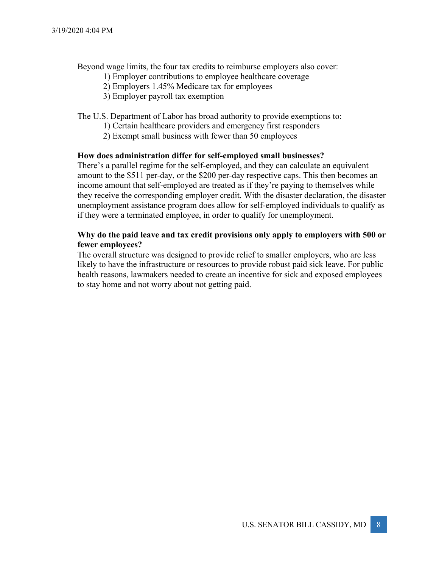Beyond wage limits, the four tax credits to reimburse employers also cover:

- 1) Employer contributions to employee healthcare coverage
- 2) Employers 1.45% Medicare tax for employees
- 3) Employer payroll tax exemption

#### The U.S. Department of Labor has broad authority to provide exemptions to:

- 1) Certain healthcare providers and emergency first responders
- 2) Exempt small business with fewer than 50 employees

#### **How does administration differ for self-employed small businesses?**

There's a parallel regime for the self-employed, and they can calculate an equivalent amount to the \$511 per-day, or the \$200 per-day respective caps. This then becomes an income amount that self-employed are treated as if they're paying to themselves while they receive the corresponding employer credit. With the disaster declaration, the disaster unemployment assistance program does allow for self-employed individuals to qualify as if they were a terminated employee, in order to qualify for unemployment.

# **Why do the paid leave and tax credit provisions only apply to employers with 500 or fewer employees?**

The overall structure was designed to provide relief to smaller employers, who are less likely to have the infrastructure or resources to provide robust paid sick leave. For public health reasons, lawmakers needed to create an incentive for sick and exposed employees to stay home and not worry about not getting paid.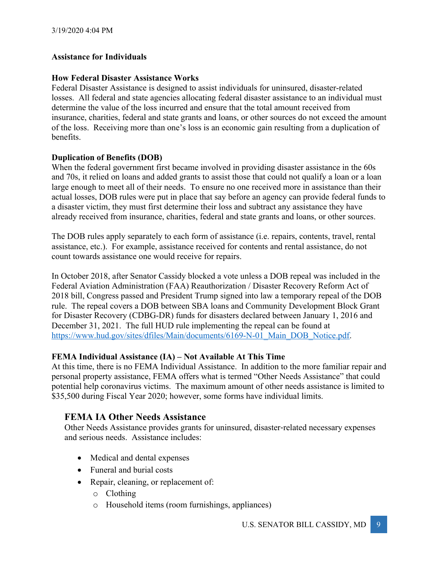# **Assistance for Individuals**

# **How Federal Disaster Assistance Works**

Federal Disaster Assistance is designed to assist individuals for uninsured, disaster-related losses. All federal and state agencies allocating federal disaster assistance to an individual must determine the value of the loss incurred and ensure that the total amount received from insurance, charities, federal and state grants and loans, or other sources do not exceed the amount of the loss. Receiving more than one's loss is an economic gain resulting from a duplication of benefits.

# **Duplication of Benefits (DOB)**

When the federal government first became involved in providing disaster assistance in the 60s and 70s, it relied on loans and added grants to assist those that could not qualify a loan or a loan large enough to meet all of their needs. To ensure no one received more in assistance than their actual losses, DOB rules were put in place that say before an agency can provide federal funds to a disaster victim, they must first determine their loss and subtract any assistance they have already received from insurance, charities, federal and state grants and loans, or other sources.

The DOB rules apply separately to each form of assistance (i.e. repairs, contents, travel, rental assistance, etc.). For example, assistance received for contents and rental assistance, do not count towards assistance one would receive for repairs.

In October 2018, after Senator Cassidy blocked a vote unless a DOB repeal was included in the Federal Aviation Administration (FAA) Reauthorization / Disaster Recovery Reform Act of 2018 bill, Congress passed and President Trump signed into law a temporary repeal of the DOB rule. The repeal covers a DOB between SBA loans and Community Development Block Grant for Disaster Recovery (CDBG-DR) funds for disasters declared between January 1, 2016 and December 31, 2021. The full HUD rule implementing the repeal can be found at https://www.hud.gov/sites/dfiles/Main/documents/6169-N-01 Main DOB Notice.pdf.

# **FEMA Individual Assistance (IA) – Not Available At This Time**

At this time, there is no FEMA Individual Assistance. In addition to the more familiar repair and personal property assistance, FEMA offers what is termed "Other Needs Assistance" that could potential help coronavirus victims. The maximum amount of other needs assistance is limited to \$35,500 during Fiscal Year 2020; however, some forms have individual limits.

# **FEMA IA Other Needs Assistance**

Other Needs Assistance provides grants for uninsured, disaster-related necessary expenses and serious needs. Assistance includes:

- Medical and dental expenses
- Funeral and burial costs
- Repair, cleaning, or replacement of:
	- o Clothing
	- o Household items (room furnishings, appliances)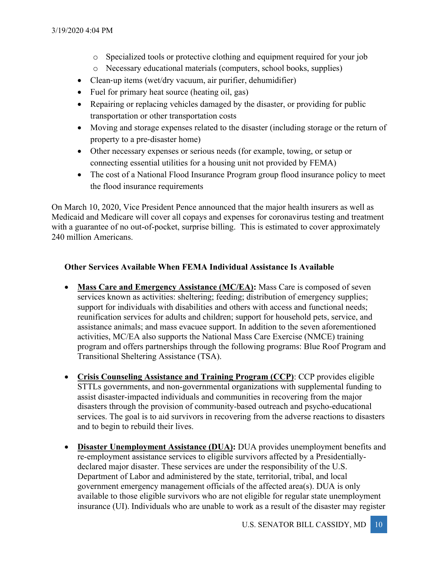- o Specialized tools or protective clothing and equipment required for your job
- o Necessary educational materials (computers, school books, supplies)
- Clean-up items (wet/dry vacuum, air purifier, dehumidifier)
- Fuel for primary heat source (heating oil, gas)
- Repairing or replacing vehicles damaged by the disaster, or providing for public transportation or other transportation costs
- Moving and storage expenses related to the disaster (including storage or the return of property to a pre-disaster home)
- Other necessary expenses or serious needs (for example, towing, or setup or connecting essential utilities for a housing unit not provided by FEMA)
- The cost of a National Flood Insurance Program group flood insurance policy to meet the flood insurance requirements

On March 10, 2020, Vice President Pence announced that the major health insurers as well as Medicaid and Medicare will cover all copays and expenses for coronavirus testing and treatment with a guarantee of no out-of-pocket, surprise billing. This is estimated to cover approximately 240 million Americans.

# **Other Services Available When FEMA Individual Assistance Is Available**

- **Mass Care and Emergency Assistance (MC/EA):** Mass Care is composed of seven services known as activities: sheltering; feeding; distribution of emergency supplies; support for individuals with disabilities and others with access and functional needs; reunification services for adults and children; support for household pets, service, and assistance animals; and mass evacuee support. In addition to the seven aforementioned activities, MC/EA also supports the National Mass Care Exercise (NMCE) training program and offers partnerships through the following programs: Blue Roof Program and Transitional Sheltering Assistance (TSA).
- **Crisis Counseling Assistance and Training Program (CCP)**: CCP provides eligible STTLs governments, and non-governmental organizations with supplemental funding to assist disaster-impacted individuals and communities in recovering from the major disasters through the provision of community-based outreach and psycho-educational services. The goal is to aid survivors in recovering from the adverse reactions to disasters and to begin to rebuild their lives.
- **Disaster Unemployment Assistance (DUA):** DUA provides unemployment benefits and re-employment assistance services to eligible survivors affected by a Presidentiallydeclared major disaster. These services are under the responsibility of the U.S. Department of Labor and administered by the state, territorial, tribal, and local government emergency management officials of the affected area(s). DUA is only available to those eligible survivors who are not eligible for regular state unemployment insurance (UI). Individuals who are unable to work as a result of the disaster may register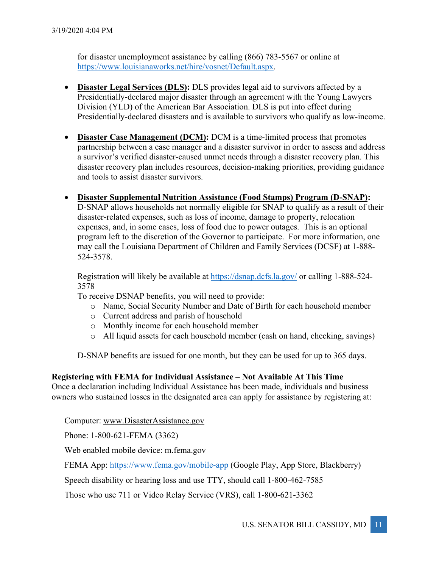for disaster unemployment assistance by calling (866) 783-5567 or online at https://www.louisianaworks.net/hire/vosnet/Default.aspx.

- **Disaster Legal Services (DLS):** DLS provides legal aid to survivors affected by a Presidentially-declared major disaster through an agreement with the Young Lawyers Division (YLD) of the American Bar Association. DLS is put into effect during Presidentially-declared disasters and is available to survivors who qualify as low-income.
- **Disaster Case Management (DCM):** DCM is a time-limited process that promotes partnership between a case manager and a disaster survivor in order to assess and address a survivor's verified disaster-caused unmet needs through a disaster recovery plan. This disaster recovery plan includes resources, decision-making priorities, providing guidance and tools to assist disaster survivors.
- **Disaster Supplemental Nutrition Assistance (Food Stamps) Program (D-SNAP):** D-SNAP allows households not normally eligible for SNAP to qualify as a result of their disaster-related expenses, such as loss of income, damage to property, relocation

expenses, and, in some cases, loss of food due to power outages. This is an optional program left to the discretion of the Governor to participate. For more information, one may call the Louisiana Department of Children and Family Services (DCSF) at 1-888- 524-3578.

Registration will likely be available at https://dsnap.dcfs.la.gov/ or calling 1-888-524- 3578

To receive DSNAP benefits, you will need to provide:

- o Name, Social Security Number and Date of Birth for each household member
- o Current address and parish of household
- o Monthly income for each household member
- o All liquid assets for each household member (cash on hand, checking, savings)

D-SNAP benefits are issued for one month, but they can be used for up to 365 days.

# **Registering with FEMA for Individual Assistance – Not Available At This Time**

Once a declaration including Individual Assistance has been made, individuals and business owners who sustained losses in the designated area can apply for assistance by registering at:

Computer: www.DisasterAssistance.gov

Phone: 1-800-621-FEMA (3362)

Web enabled mobile device: m.fema.gov

FEMA App: https://www.fema.gov/mobile-app (Google Play, App Store, Blackberry)

Speech disability or hearing loss and use TTY, should call 1-800-462-7585

Those who use 711 or Video Relay Service (VRS), call 1-800-621-3362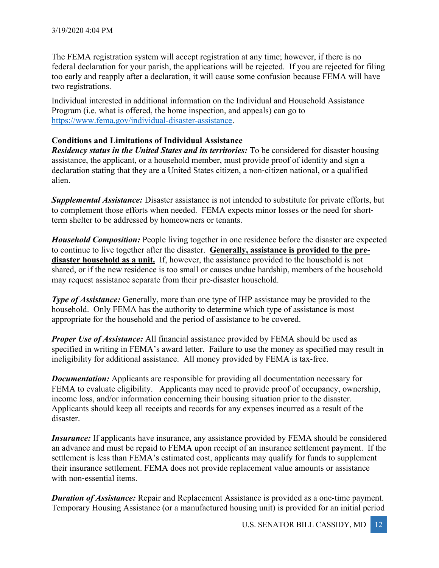The FEMA registration system will accept registration at any time; however, if there is no federal declaration for your parish, the applications will be rejected. If you are rejected for filing too early and reapply after a declaration, it will cause some confusion because FEMA will have two registrations.

Individual interested in additional information on the Individual and Household Assistance Program (i.e. what is offered, the home inspection, and appeals) can go to https://www.fema.gov/individual-disaster-assistance.

# **Conditions and Limitations of Individual Assistance**

*Residency status in the United States and its territories:* To be considered for disaster housing assistance, the applicant, or a household member, must provide proof of identity and sign a declaration stating that they are a United States citizen, a non-citizen national, or a qualified alien.

*Supplemental Assistance:* Disaster assistance is not intended to substitute for private efforts, but to complement those efforts when needed. FEMA expects minor losses or the need for shortterm shelter to be addressed by homeowners or tenants.

*Household Composition:* People living together in one residence before the disaster are expected to continue to live together after the disaster. **Generally, assistance is provided to the predisaster household as a unit.** If, however, the assistance provided to the household is not shared, or if the new residence is too small or causes undue hardship, members of the household may request assistance separate from their pre-disaster household.

*Type of Assistance:* Generally, more than one type of IHP assistance may be provided to the household. Only FEMA has the authority to determine which type of assistance is most appropriate for the household and the period of assistance to be covered.

**Proper Use of Assistance:** All financial assistance provided by FEMA should be used as specified in writing in FEMA's award letter. Failure to use the money as specified may result in ineligibility for additional assistance. All money provided by FEMA is tax-free.

*Documentation:* Applicants are responsible for providing all documentation necessary for FEMA to evaluate eligibility. Applicants may need to provide proof of occupancy, ownership, income loss, and/or information concerning their housing situation prior to the disaster. Applicants should keep all receipts and records for any expenses incurred as a result of the disaster.

*Insurance:* If applicants have insurance, any assistance provided by FEMA should be considered an advance and must be repaid to FEMA upon receipt of an insurance settlement payment. If the settlement is less than FEMA's estimated cost, applicants may qualify for funds to supplement their insurance settlement. FEMA does not provide replacement value amounts or assistance with non-essential items.

*Duration of Assistance:* Repair and Replacement Assistance is provided as a one-time payment. Temporary Housing Assistance (or a manufactured housing unit) is provided for an initial period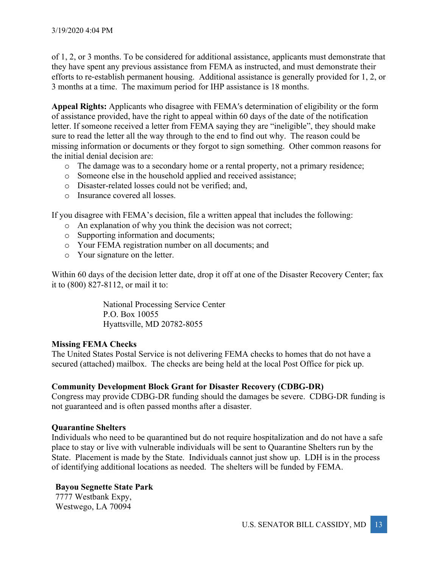of 1, 2, or 3 months. To be considered for additional assistance, applicants must demonstrate that they have spent any previous assistance from FEMA as instructed, and must demonstrate their efforts to re-establish permanent housing. Additional assistance is generally provided for 1, 2, or 3 months at a time. The maximum period for IHP assistance is 18 months.

**Appeal Rights:** Applicants who disagree with FEMAʹs determination of eligibility or the form of assistance provided, have the right to appeal within 60 days of the date of the notification letter. If someone received a letter from FEMA saying they are "ineligible", they should make sure to read the letter all the way through to the end to find out why. The reason could be missing information or documents or they forgot to sign something. Other common reasons for the initial denial decision are:

- o The damage was to a secondary home or a rental property, not a primary residence;
- o Someone else in the household applied and received assistance;
- o Disaster-related losses could not be verified; and,
- o Insurance covered all losses.

If you disagree with FEMA's decision, file a written appeal that includes the following:

- o An explanation of why you think the decision was not correct;
- o Supporting information and documents;
- o Your FEMA registration number on all documents; and
- o Your signature on the letter.

Within 60 days of the decision letter date, drop it off at one of the Disaster Recovery Center; fax it to (800) 827-8112, or mail it to:

> National Processing Service Center P.O. Box 10055 Hyattsville, MD 20782-8055

# **Missing FEMA Checks**

The United States Postal Service is not delivering FEMA checks to homes that do not have a secured (attached) mailbox. The checks are being held at the local Post Office for pick up.

# **Community Development Block Grant for Disaster Recovery (CDBG-DR)**

Congress may provide CDBG-DR funding should the damages be severe. CDBG-DR funding is not guaranteed and is often passed months after a disaster.

# **Quarantine Shelters**

Individuals who need to be quarantined but do not require hospitalization and do not have a safe place to stay or live with vulnerable individuals will be sent to Quarantine Shelters run by the State. Placement is made by the State. Individuals cannot just show up. LDH is in the process of identifying additional locations as needed. The shelters will be funded by FEMA.

# **Bayou Segnette State Park**

7777 Westbank Expy, Westwego, LA 70094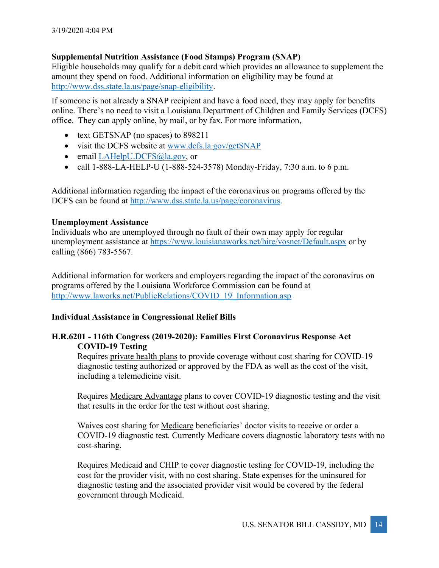# **Supplemental Nutrition Assistance (Food Stamps) Program (SNAP)**

Eligible households may qualify for a debit card which provides an allowance to supplement the amount they spend on food. Additional information on eligibility may be found at http://www.dss.state.la.us/page/snap-eligibility.

If someone is not already a SNAP recipient and have a food need, they may apply for benefits online. There's no need to visit a Louisiana Department of Children and Family Services (DCFS) office. They can apply online, by mail, or by fax. For more information,

- text GETSNAP (no spaces) to 898211
- visit the DCFS website at www.dcfs.la.gov/getSNAP
- email LAHelpU.DCFS@la.gov, or
- call 1-888-LA-HELP-U (1-888-524-3578) Monday-Friday, 7:30 a.m. to 6 p.m.

Additional information regarding the impact of the coronavirus on programs offered by the DCFS can be found at http://www.dss.state.la.us/page/coronavirus.

# **Unemployment Assistance**

Individuals who are unemployed through no fault of their own may apply for regular unemployment assistance at https://www.louisianaworks.net/hire/vosnet/Default.aspx or by calling (866) 783-5567.

Additional information for workers and employers regarding the impact of the coronavirus on programs offered by the Louisiana Workforce Commission can be found at http://www.laworks.net/PublicRelations/COVID\_19\_Information.asp

# **Individual Assistance in Congressional Relief Bills**

# **H.R.6201 - 116th Congress (2019-2020): Families First Coronavirus Response Act COVID-19 Testing**

Requires private health plans to provide coverage without cost sharing for COVID-19 diagnostic testing authorized or approved by the FDA as well as the cost of the visit, including a telemedicine visit.

Requires Medicare Advantage plans to cover COVID-19 diagnostic testing and the visit that results in the order for the test without cost sharing.

Waives cost sharing for Medicare beneficiaries' doctor visits to receive or order a COVID-19 diagnostic test. Currently Medicare covers diagnostic laboratory tests with no cost-sharing.

Requires Medicaid and CHIP to cover diagnostic testing for COVID-19, including the cost for the provider visit, with no cost sharing. State expenses for the uninsured for diagnostic testing and the associated provider visit would be covered by the federal government through Medicaid.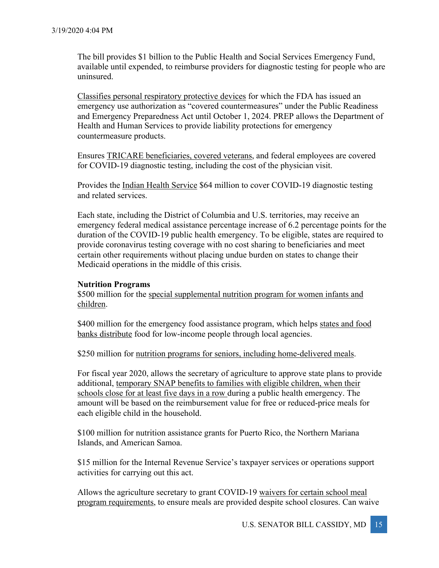The bill provides \$1 billion to the Public Health and Social Services Emergency Fund, available until expended, to reimburse providers for diagnostic testing for people who are uninsured.

Classifies personal respiratory protective devices for which the FDA has issued an emergency use authorization as "covered countermeasures" under the Public Readiness and Emergency Preparedness Act until October 1, 2024. PREP allows the Department of Health and Human Services to provide liability protections for emergency countermeasure products.

Ensures TRICARE beneficiaries, covered veterans, and federal employees are covered for COVID-19 diagnostic testing, including the cost of the physician visit.

Provides the Indian Health Service \$64 million to cover COVID-19 diagnostic testing and related services.

Each state, including the District of Columbia and U.S. territories, may receive an emergency federal medical assistance percentage increase of 6.2 percentage points for the duration of the COVID-19 public health emergency. To be eligible, states are required to provide coronavirus testing coverage with no cost sharing to beneficiaries and meet certain other requirements without placing undue burden on states to change their Medicaid operations in the middle of this crisis.

#### **Nutrition Programs**

\$500 million for the special supplemental nutrition program for women infants and children.

\$400 million for the emergency food assistance program, which helps states and food banks distribute food for low-income people through local agencies.

\$250 million for nutrition programs for seniors, including home-delivered meals.

For fiscal year 2020, allows the secretary of agriculture to approve state plans to provide additional, temporary SNAP benefits to families with eligible children, when their schools close for at least five days in a row during a public health emergency. The amount will be based on the reimbursement value for free or reduced-price meals for each eligible child in the household.

\$100 million for nutrition assistance grants for Puerto Rico, the Northern Mariana Islands, and American Samoa.

\$15 million for the Internal Revenue Service's taxpayer services or operations support activities for carrying out this act.

Allows the agriculture secretary to grant COVID-19 waivers for certain school meal program requirements, to ensure meals are provided despite school closures. Can waive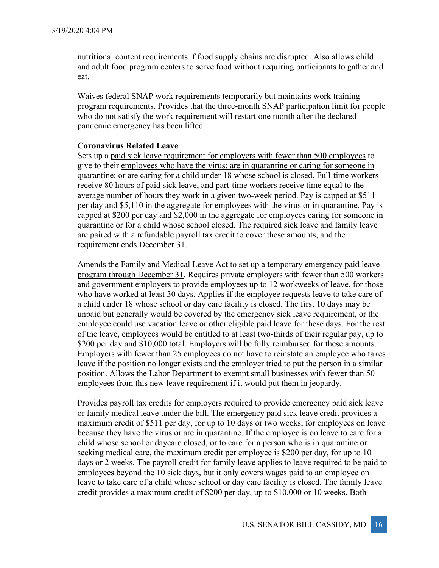nutritional content requirements if food supply chains are disrupted. Also allows child and adult food program centers to serve food without requiring participants to gather and eat.

Waives federal SNAP work requirements temporarily but maintains work training program requirements. Provides that the three-month SNAP participation limit for people who do not satisfy the work requirement will restart one month after the declared pandemic emergency has been lifted.

#### **Coronavirus Related Leave**

Sets up a paid sick leave requirement for employers with fewer than 500 employees to give to their employees who have the virus; are in quarantine or caring for someone in quarantine; or are caring for a child under 18 whose school is closed. Full-time workers receive 80 hours of paid sick leave, and part-time workers receive time equal to the average number of hours they work in a given two-week period. Pay is capped at \$511 per day and \$5,110 in the aggregate for employees with the virus or in quarantine. Pay is capped at \$200 per day and \$2,000 in the aggregate for employees caring for someone in quarantine or for a child whose school closed. The required sick leave and family leave are paired with a refundable payroll tax credit to cover these amounts, and the requirement ends December 31.

Amends the Family and Medical Leave Act to set up a temporary emergency paid leave program through December 31. Requires private employers with fewer than 500 workers and government employers to provide employees up to 12 workweeks of leave, for those who have worked at least 30 days. Applies if the employee requests leave to take care of a child under 18 whose school or day care facility is closed. The first 10 days may be unpaid but generally would be covered by the emergency sick leave requirement, or the employee could use vacation leave or other eligible paid leave for these days. For the rest of the leave, employees would be entitled to at least two-thirds of their regular pay, up to \$200 per day and \$10,000 total. Employers will be fully reimbursed for these amounts. Employers with fewer than 25 employees do not have to reinstate an employee who takes leave if the position no longer exists and the employer tried to put the person in a similar position. Allows the Labor Department to exempt small businesses with fewer than 50 employees from this new leave requirement if it would put them in jeopardy.

Provides payroll tax credits for employers required to provide emergency paid sick leave or family medical leave under the bill. The emergency paid sick leave credit provides a maximum credit of \$511 per day, for up to 10 days or two weeks, for employees on leave because they have the virus or are in quarantine. If the employee is on leave to care for a child whose school or daycare closed, or to care for a person who is in quarantine or seeking medical care, the maximum credit per employee is \$200 per day, for up to 10 days or 2 weeks. The payroll credit for family leave applies to leave required to be paid to employees beyond the 10 sick days, but it only covers wages paid to an employee on leave to take care of a child whose school or day care facility is closed. The family leave credit provides a maximum credit of \$200 per day, up to \$10,000 or 10 weeks. Both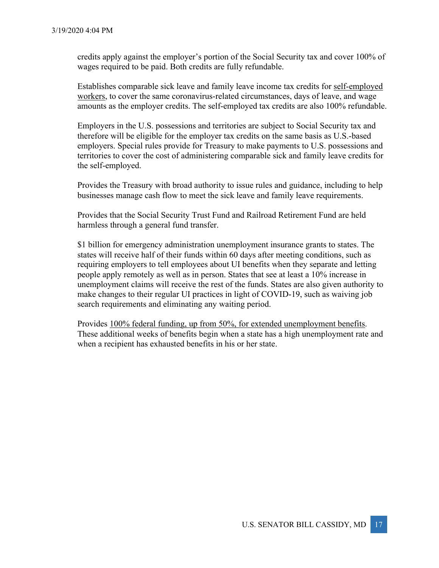credits apply against the employer's portion of the Social Security tax and cover 100% of wages required to be paid. Both credits are fully refundable.

Establishes comparable sick leave and family leave income tax credits for self-employed workers, to cover the same coronavirus-related circumstances, days of leave, and wage amounts as the employer credits. The self-employed tax credits are also 100% refundable.

Employers in the U.S. possessions and territories are subject to Social Security tax and therefore will be eligible for the employer tax credits on the same basis as U.S.-based employers. Special rules provide for Treasury to make payments to U.S. possessions and territories to cover the cost of administering comparable sick and family leave credits for the self-employed.

Provides the Treasury with broad authority to issue rules and guidance, including to help businesses manage cash flow to meet the sick leave and family leave requirements.

Provides that the Social Security Trust Fund and Railroad Retirement Fund are held harmless through a general fund transfer.

\$1 billion for emergency administration unemployment insurance grants to states. The states will receive half of their funds within 60 days after meeting conditions, such as requiring employers to tell employees about UI benefits when they separate and letting people apply remotely as well as in person. States that see at least a 10% increase in unemployment claims will receive the rest of the funds. States are also given authority to make changes to their regular UI practices in light of COVID-19, such as waiving job search requirements and eliminating any waiting period.

Provides 100% federal funding, up from 50%, for extended unemployment benefits. These additional weeks of benefits begin when a state has a high unemployment rate and when a recipient has exhausted benefits in his or her state.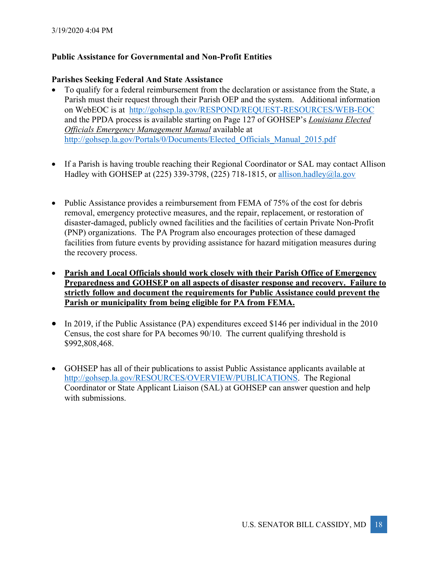# **Public Assistance for Governmental and Non-Profit Entities**

## **Parishes Seeking Federal And State Assistance**

- To qualify for a federal reimbursement from the declaration or assistance from the State, a Parish must their request through their Parish OEP and the system. Additional information on WebEOC is at http://gohsep.la.gov/RESPOND/REQUEST-RESOURCES/WEB-EOC and the PPDA process is available starting on Page 127 of GOHSEP's *Louisiana Elected Officials Emergency Management Manual* available at http://gohsep.la.gov/Portals/0/Documents/Elected\_Officials\_Manual\_2015.pdf
- If a Parish is having trouble reaching their Regional Coordinator or SAL may contact Allison Hadley with GOHSEP at (225) 339-3798, (225) 718-1815, or allison.hadley@la.gov
- Public Assistance provides a reimbursement from FEMA of 75% of the cost for debris removal, emergency protective measures, and the repair, replacement, or restoration of disaster-damaged, publicly owned facilities and the facilities of certain Private Non-Profit (PNP) organizations. The PA Program also encourages protection of these damaged facilities from future events by providing assistance for hazard mitigation measures during the recovery process.
- **Parish and Local Officials should work closely with their Parish Office of Emergency Preparedness and GOHSEP on all aspects of disaster response and recovery. Failure to strictly follow and document the requirements for Public Assistance could prevent the Parish or municipality from being eligible for PA from FEMA.**
- In 2019, if the Public Assistance (PA) expenditures exceed \$146 per individual in the 2010 Census, the cost share for PA becomes 90/10. The current qualifying threshold is \$992,808,468.
- GOHSEP has all of their publications to assist Public Assistance applicants available at http://gohsep.la.gov/RESOURCES/OVERVIEW/PUBLICATIONS. The Regional Coordinator or State Applicant Liaison (SAL) at GOHSEP can answer question and help with submissions.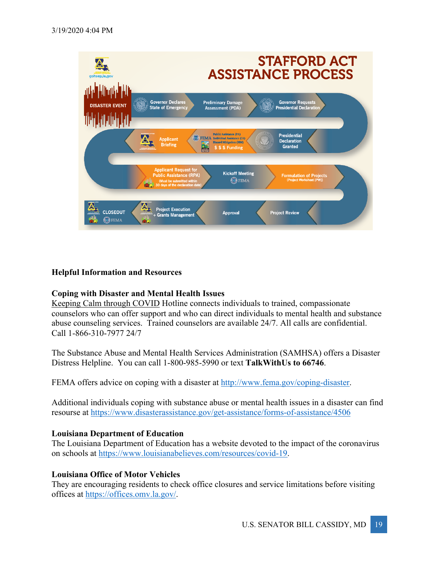

# **Helpful Information and Resources**

# **Coping with Disaster and Mental Health Issues**

Keeping Calm through COVID Hotline connects individuals to trained, compassionate counselors who can offer support and who can direct individuals to mental health and substance abuse counseling services. Trained counselors are available 24/7. All calls are confidential. Call 1-866-310-7977 24/7

The Substance Abuse and Mental Health Services Administration (SAMHSA) offers a Disaster Distress Helpline. You can call 1-800-985-5990 or text **TalkWithUs to 66746**.

FEMA offers advice on coping with a disaster at http://www.fema.gov/coping-disaster.

Additional individuals coping with substance abuse or mental health issues in a disaster can find resourse at https://www.disasterassistance.gov/get-assistance/forms-of-assistance/4506

#### **Louisiana Department of Education**

The Louisiana Department of Education has a website devoted to the impact of the coronavirus on schools at https://www.louisianabelieves.com/resources/covid-19.

#### **Louisiana Office of Motor Vehicles**

They are encouraging residents to check office closures and service limitations before visiting offices at https://offices.omv.la.gov/.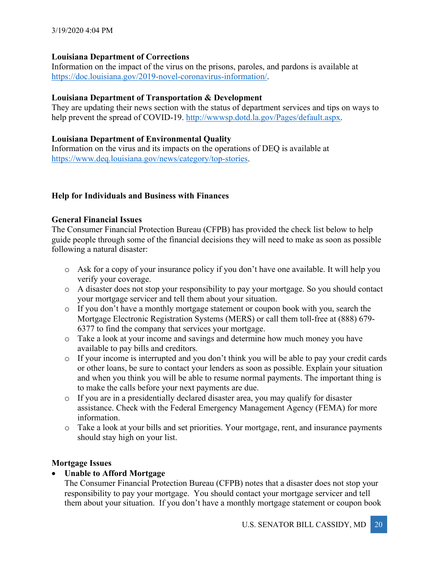# **Louisiana Department of Corrections**

Information on the impact of the virus on the prisons, paroles, and pardons is available at https://doc.louisiana.gov/2019-novel-coronavirus-information/.

# **Louisiana Department of Transportation & Development**

They are updating their news section with the status of department services and tips on ways to help prevent the spread of COVID-19. http://www.sp.dotd.la.gov/Pages/default.aspx.

# **Louisiana Department of Environmental Quality**

Information on the virus and its impacts on the operations of DEQ is available at https://www.deq.louisiana.gov/news/category/top-stories.

# **Help for Individuals and Business with Finances**

# **General Financial Issues**

The Consumer Financial Protection Bureau (CFPB) has provided the check list below to help guide people through some of the financial decisions they will need to make as soon as possible following a natural disaster:

- o Ask for a copy of your insurance policy if you don't have one available. It will help you verify your coverage.
- o A disaster does not stop your responsibility to pay your mortgage. So you should contact your mortgage servicer and tell them about your situation.
- o If you don't have a monthly mortgage statement or coupon book with you, search the Mortgage Electronic Registration Systems (MERS) or call them toll-free at (888) 679- 6377 to find the company that services your mortgage.
- o Take a look at your income and savings and determine how much money you have available to pay bills and creditors.
- o If your income is interrupted and you don't think you will be able to pay your credit cards or other loans, be sure to contact your lenders as soon as possible. Explain your situation and when you think you will be able to resume normal payments. The important thing is to make the calls before your next payments are due.
- o If you are in a presidentially declared disaster area, you may qualify for disaster assistance. Check with the Federal Emergency Management Agency (FEMA) for more information.
- o Take a look at your bills and set priorities. Your mortgage, rent, and insurance payments should stay high on your list.

# **Mortgage Issues**

# • **Unable to Afford Mortgage**

The Consumer Financial Protection Bureau (CFPB) notes that a disaster does not stop your responsibility to pay your mortgage. You should contact your mortgage servicer and tell them about your situation. If you don't have a monthly mortgage statement or coupon book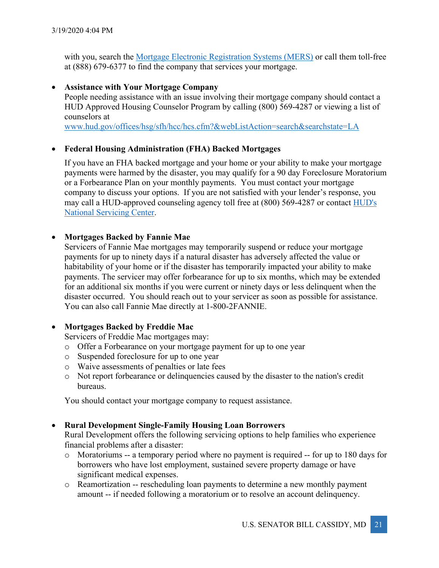with you, search the Mortgage Electronic Registration Systems (MERS) or call them toll-free at (888) 679-6377 to find the company that services your mortgage.

# • **Assistance with Your Mortgage Company**

People needing assistance with an issue involving their mortgage company should contact a HUD Approved Housing Counselor Program by calling (800) 569-4287 or viewing a list of counselors at

www.hud.gov/offices/hsg/sfh/hcc/hcs.cfm?&webListAction=search&searchstate=LA

# • **Federal Housing Administration (FHA) Backed Mortgages**

If you have an FHA backed mortgage and your home or your ability to make your mortgage payments were harmed by the disaster, you may qualify for a 90 day Foreclosure Moratorium or a Forbearance Plan on your monthly payments. You must contact your mortgage company to discuss your options. If you are not satisfied with your lender's response, you may call a HUD-approved counseling agency toll free at (800) 569-4287 or contact HUD's National Servicing Center.

# • **Mortgages Backed by Fannie Mae**

Servicers of Fannie Mae mortgages may temporarily suspend or reduce your mortgage payments for up to ninety days if a natural disaster has adversely affected the value or habitability of your home or if the disaster has temporarily impacted your ability to make payments. The servicer may offer forbearance for up to six months, which may be extended for an additional six months if you were current or ninety days or less delinquent when the disaster occurred. You should reach out to your servicer as soon as possible for assistance. You can also call Fannie Mae directly at 1-800-2FANNIE.

# • **Mortgages Backed by Freddie Mac**

Servicers of Freddie Mac mortgages may:

- o Offer a Forbearance on your mortgage payment for up to one year
- o Suspended foreclosure for up to one year
- o Waive assessments of penalties or late fees
- o Not report forbearance or delinquencies caused by the disaster to the nation's credit bureaus.

You should contact your mortgage company to request assistance.

# • **Rural Development Single-Family Housing Loan Borrowers**

Rural Development offers the following servicing options to help families who experience financial problems after a disaster:

- o Moratoriums -- a temporary period where no payment is required -- for up to 180 days for borrowers who have lost employment, sustained severe property damage or have significant medical expenses.
- o Reamortization -- rescheduling loan payments to determine a new monthly payment amount -- if needed following a moratorium or to resolve an account delinquency.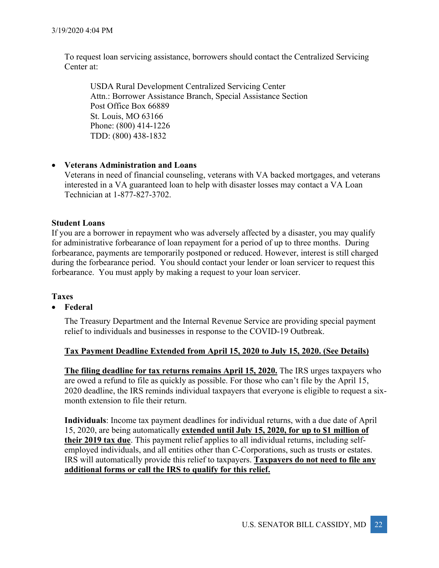To request loan servicing assistance, borrowers should contact the Centralized Servicing Center at:

USDA Rural Development Centralized Servicing Center Attn.: Borrower Assistance Branch, Special Assistance Section Post Office Box 66889 St. Louis, MO 63166 Phone: (800) 414-1226 TDD: (800) 438-1832

#### • **Veterans Administration and Loans**

Veterans in need of financial counseling, veterans with VA backed mortgages, and veterans interested in a VA guaranteed loan to help with disaster losses may contact a VA Loan Technician at 1-877-827-3702.

#### **Student Loans**

If you are a borrower in repayment who was adversely affected by a disaster, you may qualify for administrative forbearance of loan repayment for a period of up to three months. During forbearance, payments are temporarily postponed or reduced. However, interest is still charged during the forbearance period. You should contact your lender or loan servicer to request this forbearance. You must apply by making a request to your loan servicer.

#### **Taxes**

#### • **Federal**

The Treasury Department and the Internal Revenue Service are providing special payment relief to individuals and businesses in response to the COVID-19 Outbreak.

# **Tax Payment Deadline Extended from April 15, 2020 to July 15, 2020. (See Details)**

**The filing deadline for tax returns remains April 15, 2020.** The IRS urges taxpayers who are owed a refund to file as quickly as possible. For those who can't file by the April 15, 2020 deadline, the IRS reminds individual taxpayers that everyone is eligible to request a sixmonth extension to file their return.

**Individuals**: Income tax payment deadlines for individual returns, with a due date of April 15, 2020, are being automatically **extended until July 15, 2020, for up to \$1 million of their 2019 tax due**. This payment relief applies to all individual returns, including selfemployed individuals, and all entities other than C-Corporations, such as trusts or estates. IRS will automatically provide this relief to taxpayers. **Taxpayers do not need to file any additional forms or call the IRS to qualify for this relief.**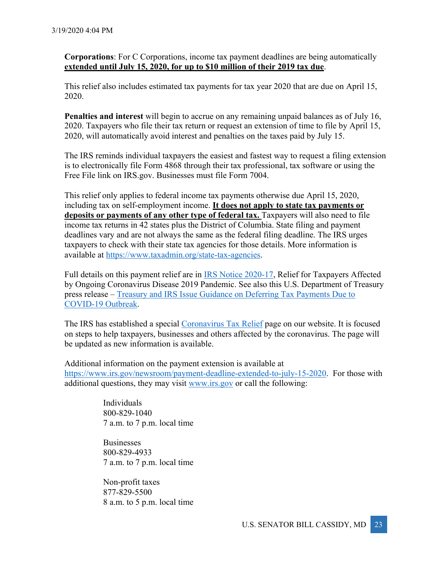**Corporations**: For C Corporations, income tax payment deadlines are being automatically **extended until July 15, 2020, for up to \$10 million of their 2019 tax due**.

This relief also includes estimated tax payments for tax year 2020 that are due on April 15, 2020.

**Penalties and interest** will begin to accrue on any remaining unpaid balances as of July 16, 2020. Taxpayers who file their tax return or request an extension of time to file by April 15, 2020, will automatically avoid interest and penalties on the taxes paid by July 15.

The IRS reminds individual taxpayers the easiest and fastest way to request a filing extension is to electronically file Form 4868 through their tax professional, tax software or using the Free File link on IRS.gov. Businesses must file Form 7004.

This relief only applies to federal income tax payments otherwise due April 15, 2020, including tax on self-employment income. **It does not apply to state tax payments or**  deposits or payments of any other type of federal tax. Taxpayers will also need to file income tax returns in 42 states plus the District of Columbia. State filing and payment deadlines vary and are not always the same as the federal filing deadline. The IRS urges taxpayers to check with their state tax agencies for those details. More information is available at https://www.taxadmin.org/state-tax-agencies.

Full details on this payment relief are in IRS Notice 2020-17, Relief for Taxpayers Affected by Ongoing Coronavirus Disease 2019 Pandemic. See also this U.S. Department of Treasury press release – Treasury and IRS Issue Guidance on Deferring Tax Payments Due to COVID-19 Outbreak.

The IRS has established a special Coronavirus Tax Relief page on our website. It is focused on steps to help taxpayers, businesses and others affected by the coronavirus. The page will be updated as new information is available.

Additional information on the payment extension is available at https://www.irs.gov/newsroom/payment-deadline-extended-to-july-15-2020. For those with additional questions, they may visit www.irs.gov or call the following:

> Individuals 800-829-1040 7 a.m. to 7 p.m. local time

> Businesses 800-829-4933 7 a.m. to 7 p.m. local time

> Non-profit taxes 877-829-5500 8 a.m. to 5 p.m. local time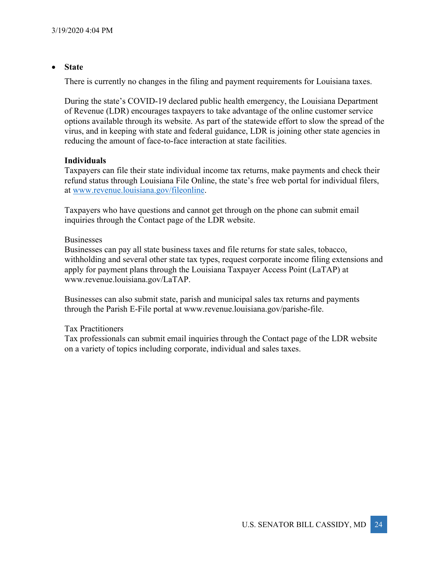## • **State**

There is currently no changes in the filing and payment requirements for Louisiana taxes.

During the state's COVID-19 declared public health emergency, the Louisiana Department of Revenue (LDR) encourages taxpayers to take advantage of the online customer service options available through its website. As part of the statewide effort to slow the spread of the virus, and in keeping with state and federal guidance, LDR is joining other state agencies in reducing the amount of face-to-face interaction at state facilities.

# **Individuals**

Taxpayers can file their state individual income tax returns, make payments and check their refund status through Louisiana File Online, the state's free web portal for individual filers, at www.revenue.louisiana.gov/fileonline.

Taxpayers who have questions and cannot get through on the phone can submit email inquiries through the Contact page of the LDR website.

#### Businesses

Businesses can pay all state business taxes and file returns for state sales, tobacco, withholding and several other state tax types, request corporate income filing extensions and apply for payment plans through the Louisiana Taxpayer Access Point (LaTAP) at www.revenue.louisiana.gov/LaTAP.

Businesses can also submit state, parish and municipal sales tax returns and payments through the Parish E-File portal at www.revenue.louisiana.gov/parishe-file.

# Tax Practitioners

Tax professionals can submit email inquiries through the Contact page of the LDR website on a variety of topics including corporate, individual and sales taxes.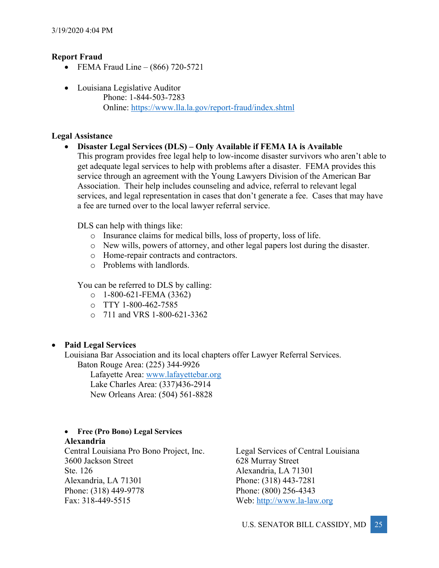# **Report Fraud**

- FEMA Fraud Line  $(866)$  720-5721
- Louisiana Legislative Auditor Phone: 1-844-503-7283 Online: https://www.lla.la.gov/report-fraud/index.shtml

# **Legal Assistance**

• **Disaster Legal Services (DLS) – Only Available if FEMA IA is Available** This program provides free legal help to low-income disaster survivors who aren't able to get adequate legal services to help with problems after a disaster. FEMA provides this service through an agreement with the Young Lawyers Division of the American Bar Association. Their help includes counseling and advice, referral to relevant legal services, and legal representation in cases that don't generate a fee. Cases that may have a fee are turned over to the local lawyer referral service.

DLS can help with things like:

- o Insurance claims for medical bills, loss of property, loss of life.
- o New wills, powers of attorney, and other legal papers lost during the disaster.
- o Home-repair contracts and contractors.
- o Problems with landlords.

You can be referred to DLS by calling:

- $O = 1-800-621$ -FEMA (3362)
- $O$  TTY 1-800-462-7585
- o 711 and VRS 1-800-621-3362

# • **Paid Legal Services**

Louisiana Bar Association and its local chapters offer Lawyer Referral Services. Baton Rouge Area: (225) 344-9926

Lafayette Area: www.lafayettebar.org Lake Charles Area: (337)436-2914 New Orleans Area: (504) 561-8828

# • **Free (Pro Bono) Legal Services Alexandria**

Central Louisiana Pro Bono Project, Inc. 3600 Jackson Street Ste. 126 Alexandria, LA 71301 Phone: (318) 449-9778 Fax: 318-449-5515

Legal Services of Central Louisiana 628 Murray Street Alexandria, LA 71301 Phone: (318) 443-7281 Phone: (800) 256-4343 Web: http://www.la-law.org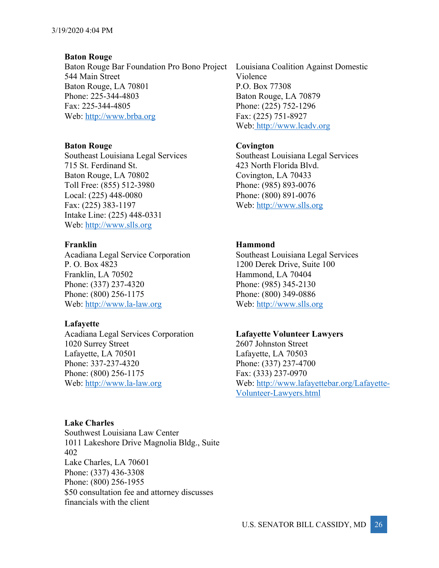# **Baton Rouge**

Baton Rouge Bar Foundation Pro Bono Project 544 Main Street Baton Rouge, LA 70801 Phone: 225-344-4803 Fax: 225-344-4805 Web: http://www.brba.org

#### **Baton Rouge Covington**

Southeast Louisiana Legal Services 715 St. Ferdinand St. Baton Rouge, LA 70802 Toll Free: (855) 512-3980 Local: (225) 448-0080 Fax: (225) 383-1197 Intake Line: (225) 448-0331 Web: http://www.slls.org

Acadiana Legal Service Corporation P. O. Box 4823 Franklin, LA 70502 Phone: (337) 237-4320 Phone: (800) 256-1175 Web: http://www.la-law.org

# **Lafayette**

Acadiana Legal Services Corporation 1020 Surrey Street Lafayette, LA 70501 Phone: 337-237-4320 Phone: (800) 256-1175 Web: http://www.la-law.org

# **Lake Charles**

Southwest Louisiana Law Center 1011 Lakeshore Drive Magnolia Bldg., Suite 402 Lake Charles, LA 70601 Phone: (337) 436-3308 Phone: (800) 256-1955 \$50 consultation fee and attorney discusses financials with the client

Louisiana Coalition Against Domestic Violence P.O. Box 77308 Baton Rouge, LA 70879 Phone: (225) 752-1296 Fax: (225) 751-8927 Web: http://www.lcadv.org

Southeast Louisiana Legal Services 423 North Florida Blvd. Covington, LA 70433 Phone: (985) 893-0076 Phone: (800) 891-0076 Web: http://www.slls.org

# **Franklin Hammond**

Southeast Louisiana Legal Services 1200 Derek Drive, Suite 100 Hammond, LA 70404 Phone: (985) 345-2130 Phone: (800) 349-0886 Web: http://www.slls.org

#### **Lafayette Volunteer Lawyers**

2607 Johnston Street Lafayette, LA 70503 Phone: (337) 237-4700 Fax: (333) 237-0970 Web: http://www.lafayettebar.org/Lafayette-Volunteer-Lawyers.html